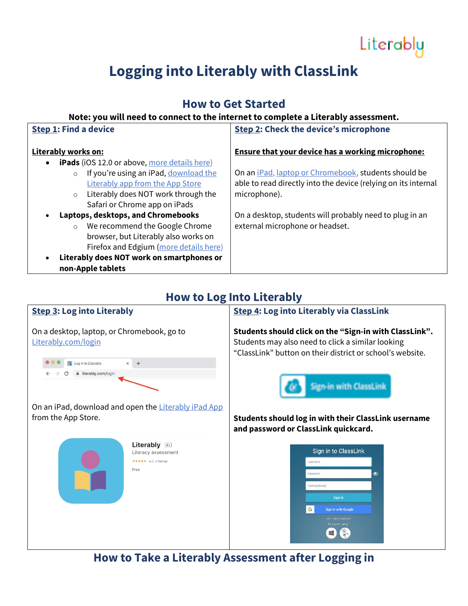# Literably

## **Logging into Literably with ClassLink**

## **How to Get Started**

#### **Note: you will need to connect to the internet to complete a Literably assessment.**

| <b>Step 1: Find a device</b>                                     | <b>Step 2: Check the device's microphone</b>                         |
|------------------------------------------------------------------|----------------------------------------------------------------------|
| Literably works on:                                              | <b>Ensure that your device has a working microphone:</b>             |
| <b>iPads</b> (iOS 12.0 or above, more details here)<br>$\bullet$ |                                                                      |
| If you're using an iPad, download the<br>$\circ$                 | On an <i>iPad</i> , <i>laptop or Chromebook</i> , students should be |
| <b>Literably app from the App Store</b>                          | able to read directly into the device (relying on its internal       |
| Literably does NOT work through the<br>$\circ$                   | microphone).                                                         |
| Safari or Chrome app on iPads                                    |                                                                      |
| Laptops, desktops, and Chromebooks<br>$\bullet$                  | On a desktop, students will probably need to plug in an              |
| We recommend the Google Chrome<br>$\circ$                        | external microphone or headset.                                      |
| browser, but Literably also works on                             |                                                                      |
| Firefox and Edgium (more details here)                           |                                                                      |
| Literably does NOT work on smartphones or<br>$\bullet$           |                                                                      |
| non-Apple tablets                                                |                                                                      |

### **How to Log Into Literably**

## **Step 3: Log into Literably** On a desktop, laptop, or Chromebook, go to [Literably.com/login](http://literably.com/login) **O O R** Log in to Literably  $\times$  +  $\rightarrow$  C  $\acute{e}$  literably.com/login

On an iPad, download and open the [Literably iPad App](https://itunes.apple.com/us/app/literably/id894742419?ls=1&mt=8%C2%A0) from the App Store.

Literably 4+ Literacy assessment ★★★★★ 5.0, 3 Ratings Free

**Step 4: Log into Literably via ClassLink** 

**Students should click on the "Sign-in with ClassLink".**  Students may also need to click a similar looking "ClassLink" button on their district or school's website.



**Students should log in with their ClassLink username and password or ClassLink quickcard.** 



**How to Take a Literably Assessment after Logging in**